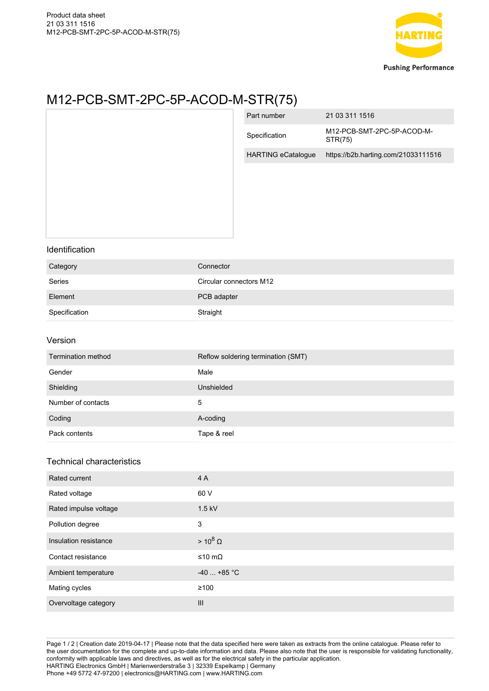

## M12-PCB-SMT-2PC-5P-ACOD-M-STR(75)

|                                  |                                    | Part number               | 21 03 311 1516                        |
|----------------------------------|------------------------------------|---------------------------|---------------------------------------|
|                                  |                                    | Specification             | M12-PCB-SMT-2PC-5P-ACOD-M-<br>STR(75) |
|                                  |                                    | <b>HARTING eCatalogue</b> | https://b2b.harting.com/21033111516   |
|                                  |                                    |                           |                                       |
| Identification                   |                                    |                           |                                       |
| Category                         | Connector                          |                           |                                       |
| Series                           | Circular connectors M12            |                           |                                       |
| Element                          | PCB adapter                        |                           |                                       |
| Specification                    | Straight                           |                           |                                       |
| Version                          |                                    |                           |                                       |
| Termination method               | Reflow soldering termination (SMT) |                           |                                       |
| Gender                           | Male                               |                           |                                       |
| Shielding                        | Unshielded                         |                           |                                       |
| Number of contacts               | $\mathbf 5$                        |                           |                                       |
| Coding                           | A-coding                           |                           |                                       |
| Pack contents                    | Tape & reel                        |                           |                                       |
| <b>Technical characteristics</b> |                                    |                           |                                       |
| Rated current                    | 4 A                                |                           |                                       |
| Rated voltage                    | 60 V                               |                           |                                       |
| Rated impulse voltage            | $1.5$ kV                           |                           |                                       |
| Pollution degree                 | $\mathsf 3$                        |                           |                                       |
| Insulation resistance            | $> 10^8 \Omega$                    |                           |                                       |
| Contact resistance               | ≤10 mΩ                             |                           |                                       |

Page 1 / 2 | Creation date 2019-04-17 | Please note that the data specified here were taken as extracts from the online catalogue. Please refer to the user documentation for the complete and up-to-date information and data. Please also note that the user is responsible for validating functionality, conformity with applicable laws and directives, as well as for the electrical safety in the particular application. HARTING Electronics GmbH | Marienwerderstraße 3 | 32339 Espelkamp | Germany Phone +49 5772 47-97200 | electronics@HARTING.com | www.HARTING.com

Ambient temperature  $-40$  ... +85 °C

Mating cycles ≥100

Overvoltage category **III III**